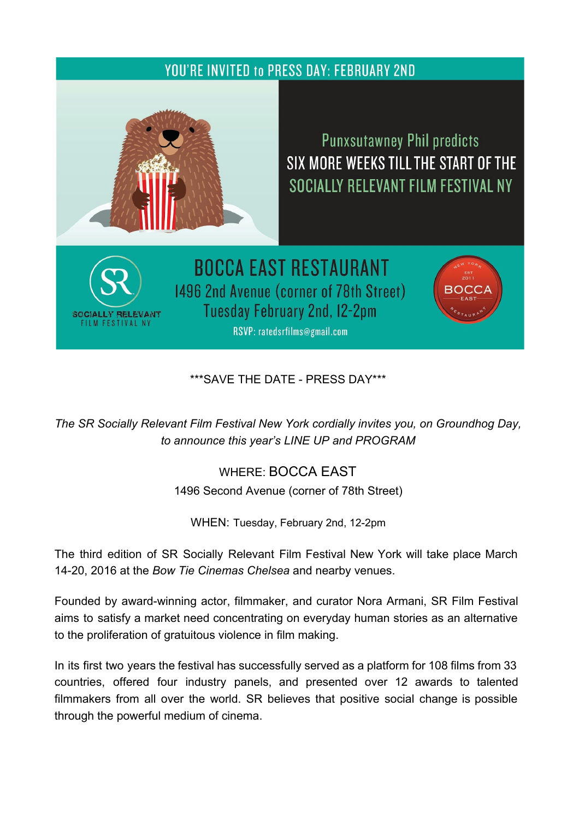## **YOU'RE INVITED to PRESS DAY: FEBRUARY 2ND**



SOCIALLY RELEVANT

## **Punxsutawney Phil predicts** SIX MORE WEEKS TILL THE START OF THE SOCIALLY RELEVANT FILM FESTIVAL NY

**BOCCA EAST RESTAURANT** 1496 2nd Avenue (corner of 78th Street) Tuesday February 2nd, 12-2pm RSVP: ratedsrfilms@gmail.com



\*\*\*SAVE THE DATE PRESS DAY\*\*\*

*The SR Socially [Relevant](http://t.sidekickopen35.com/e1t/c/5/f18dQhb0S7lC8dDMPbW2n0x6l2B9nMJW7t5XYg3Ljg8TW5wLKFP7grXn2W1p7Y5W56dw-Yf8Vc4Gq02?t=http%3A%2F%2Fwww.ratedsrfilms.org%2F&si=6608697863700480&pi=778e455b-55e0-495e-bfdb-36400d29bf91) Film Festival New York cordially invites you, on Groundhog Day, to announce this year's LINE UP and PROGRAM*

> WHERE: [BOCCA](http://t.sidekickopen35.com/e1t/c/5/f18dQhb0S7lC8dDMPbW2n0x6l2B9nMJW7t5XYg3Ljg8TW5wLKFP7grXn2W1p7Y5W56dw-Yf8Vc4Gq02?t=http%3A%2F%2Fwww.boccaeast.com%2Fmedia%2Fboccaeast.html&si=6608697863700480&pi=778e455b-55e0-495e-bfdb-36400d29bf91) EAST 1496 Second Avenue (corner of 78th Street)

WHEN: Tuesday, February 2nd, 12-2pm

The third edition of SR Socially Relevant Film Festival New York will take place March 1420, 2016 at the *[B](http://t.sidekickopen35.com/e1t/c/5/f18dQhb0S7lC8dDMPbW2n0x6l2B9nMJW7t5XYg3Ljg8TW5wLKFP7grXn2W1p7Y5W56dw-Yf8Vc4Gq02?t=http%3A%2F%2Fwww.bowtiecinemas.com%2Flocations%2Fchelsea%2F&si=6608697863700480&pi=778e455b-55e0-495e-bfdb-36400d29bf91)ow Tie [Cinemas](http://t.sidekickopen35.com/e1t/c/5/f18dQhb0S7lC8dDMPbW2n0x6l2B9nMJW7t5XYg3Ljg8TW5wLKFP7grXn2W1p7Y5W56dw-Yf8Vc4Gq02?t=http%3A%2F%2Fwww.bowtiecinemas.com%2Flocations%2Fchelsea%2F&si=6608697863700480&pi=778e455b-55e0-495e-bfdb-36400d29bf91) Chelsea* and nearby venues.

Founded by award-winning actor, filmmaker, and curator Nora Armani, SR Film Festival aims to satisfy a market need concentrating on everyday human stories as an alternative to the proliferation of gratuitous violence in film making.

In its first two years the festival has successfully served as a platform for 108 films from 33 countries, offered four industry panels, and presented over 12 awards to talented filmmakers from all over the world. SR believes that positive social change is possible through the powerful medium of cinema.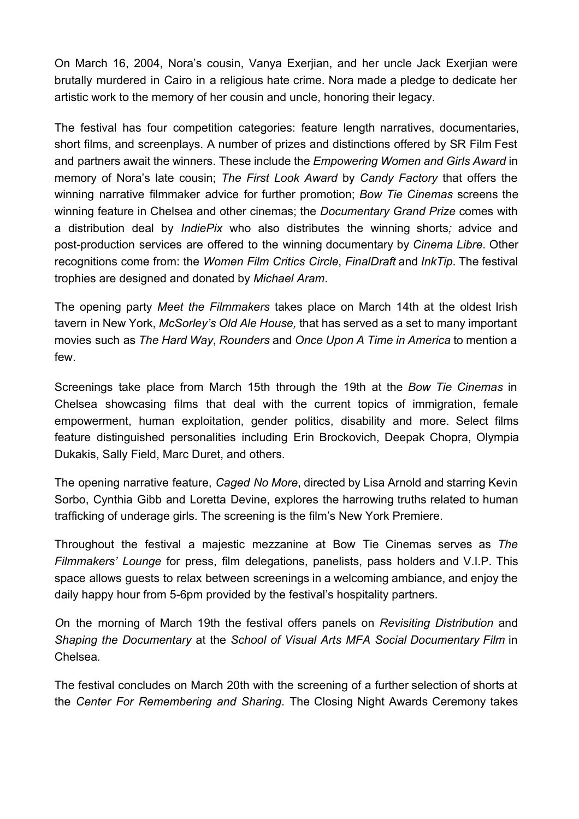On March 16, 2004, Nora's cousin, Vanya Exerjian, and her uncle Jack Exerjian were brutally murdered in Cairo in a religious hate crime. Nora made a pledge to dedicate her artistic work to the memory of her cousin and uncle, honoring their legacy.

The festival has four competition categories: feature length narratives, documentaries, short films, and screenplays. A number of prizes and distinctions offered by SR Film Fest and partners await the winners. These include the *Empowering Women and Girls Award* in memory of Nora's late cousin; *The First Look Award* by *Candy Factory* that offers the winning narrative filmmaker advice for further promotion; *Bow Tie Cinemas* screens the winning feature in Chelsea and other cinemas; the *Documentary Grand Prize* comes with a distribution deal by *IndiePix* who also distributes the winning shorts*;* advice and post-production services are offered to the winning documentary by *Cinema Libre*. Other recognitions come from: the *Women Film Critics Circle*, *FinalDraft* and *InkTip*. The festival trophies are designed and donated by *Michael Aram*.

The opening party *Meet the Filmmakers* takes place on March 14th at the oldest Irish tavern in New York, *McSorley's Old Ale House,* that has served as a set to many important movies such as *[T](http://t.sidekickopen35.com/e1t/c/5/f18dQhb0S7lC8dDMPbW2n0x6l2B9nMJW7t5XYg3Ljg8TW5wLKFP7grXn2W1p7Y5W56dw-Yf8Vc4Gq02?t=https%3A%2F%2Fen.wikipedia.org%2Fwiki%2FThe_Hard_Way_(1991_film)&si=6608697863700480&pi=778e455b-55e0-495e-bfdb-36400d29bf91)he [Hard](http://t.sidekickopen35.com/e1t/c/5/f18dQhb0S7lC8dDMPbW2n0x6l2B9nMJW7t5XYg3Ljg8TW5wLKFP7grXn2W1p7Y5W56dw-Yf8Vc4Gq02?t=https%3A%2F%2Fen.wikipedia.org%2Fwiki%2FThe_Hard_Way_(1991_film)&si=6608697863700480&pi=778e455b-55e0-495e-bfdb-36400d29bf91) Way*, *[Rounders](http://t.sidekickopen35.com/e1t/c/5/f18dQhb0S7lC8dDMPbW2n0x6l2B9nMJW7t5XYg3Ljg8TW5wLKFP7grXn2W1p7Y5W56dw-Yf8Vc4Gq02?t=https%3A%2F%2Fen.wikipedia.org%2Fwiki%2FRounders_(1998_film)&si=6608697863700480&pi=778e455b-55e0-495e-bfdb-36400d29bf91)* and *[O](http://t.sidekickopen35.com/e1t/c/5/f18dQhb0S7lC8dDMPbW2n0x6l2B9nMJW7t5XYg3Ljg8TW5wLKFP7grXn2W1p7Y5W56dw-Yf8Vc4Gq02?t=https%3A%2F%2Fen.wikipedia.org%2Fwiki%2FOnce_Upon_A_Time_in_America&si=6608697863700480&pi=778e455b-55e0-495e-bfdb-36400d29bf91)nce Upon A Time in [America](http://t.sidekickopen35.com/e1t/c/5/f18dQhb0S7lC8dDMPbW2n0x6l2B9nMJW7t5XYg3Ljg8TW5wLKFP7grXn2W1p7Y5W56dw-Yf8Vc4Gq02?t=https%3A%2F%2Fen.wikipedia.org%2Fwiki%2FOnce_Upon_A_Time_in_America&si=6608697863700480&pi=778e455b-55e0-495e-bfdb-36400d29bf91)* to mention a few.

Screenings take place from March 15th through the 19th at the *[B](http://t.sidekickopen35.com/e1t/c/5/f18dQhb0S7lC8dDMPbW2n0x6l2B9nMJW7t5XYg3Ljg8TW5wLKFP7grXn2W1p7Y5W56dw-Yf8Vc4Gq02?t=http%3A%2F%2Fwww.bowtiecinemas.com%2Flocations%2Fchelsea%2F&si=6608697863700480&pi=778e455b-55e0-495e-bfdb-36400d29bf91)ow Tie [Cinemas](http://t.sidekickopen35.com/e1t/c/5/f18dQhb0S7lC8dDMPbW2n0x6l2B9nMJW7t5XYg3Ljg8TW5wLKFP7grXn2W1p7Y5W56dw-Yf8Vc4Gq02?t=http%3A%2F%2Fwww.bowtiecinemas.com%2Flocations%2Fchelsea%2F&si=6608697863700480&pi=778e455b-55e0-495e-bfdb-36400d29bf91)* in Chelsea showcasing films that deal with the current topics of immigration, female empowerment, human exploitation, gender politics, disability and more. Select films feature distinguished personalities including Erin Brockovich, Deepak Chopra, Olympia Dukakis, Sally Field, Marc Duret, and others.

The opening narrative feature, *Caged No More*, directed by Lisa Arnold and starring Kevin Sorbo, Cynthia Gibb and Loretta Devine, explores the harrowing truths related to human trafficking of underage girls. The screening is the film's New York Premiere.

Throughout the festival a majestic mezzanine at Bow Tie Cinemas serves as *The Filmmakers' Lounge* for press, film delegations, panelists, pass holders and V.I.P. This space allows guests to relax between screenings in a welcoming ambiance, and enjoy the daily happy hour from 5-6pm provided by the festival's hospitality partners.

*O*n the morning of March 19th the festival offers panels on *Revisiting Distribution* and *Shaping the Documentary* at th[e](http://t.sidekickopen35.com/e1t/c/5/f18dQhb0S7lC8dDMPbW2n0x6l2B9nMJW7t5XYg3Ljg8TW5wLKFP7grXn2W1p7Y5W56dw-Yf8Vc4Gq02?t=http%3A%2F%2Fmfasocdoc.sva.edu%2F&si=6608697863700480&pi=778e455b-55e0-495e-bfdb-36400d29bf91) *School of Visual Arts MFA Social [Documentary](http://t.sidekickopen35.com/e1t/c/5/f18dQhb0S7lC8dDMPbW2n0x6l2B9nMJW7t5XYg3Ljg8TW5wLKFP7grXn2W1p7Y5W56dw-Yf8Vc4Gq02?t=http%3A%2F%2Fmfasocdoc.sva.edu%2F&si=6608697863700480&pi=778e455b-55e0-495e-bfdb-36400d29bf91) Film* in Chelsea*.*

The festival concludes on March 20th with the screening of a further selection of shorts at the *[C](http://t.sidekickopen35.com/e1t/c/5/f18dQhb0S7lC8dDMPbW2n0x6l2B9nMJW7t5XYg3Ljg8TW5wLKFP7grXn2W1p7Y5W56dw-Yf8Vc4Gq02?t=http%3A%2F%2Fcrsny.org%2Fwp%2F&si=6608697863700480&pi=778e455b-55e0-495e-bfdb-36400d29bf91)enter For [Remembering](http://t.sidekickopen35.com/e1t/c/5/f18dQhb0S7lC8dDMPbW2n0x6l2B9nMJW7t5XYg3Ljg8TW5wLKFP7grXn2W1p7Y5W56dw-Yf8Vc4Gq02?t=http%3A%2F%2Fcrsny.org%2Fwp%2F&si=6608697863700480&pi=778e455b-55e0-495e-bfdb-36400d29bf91) and Sharing*. The Closing Night Awards Ceremony takes